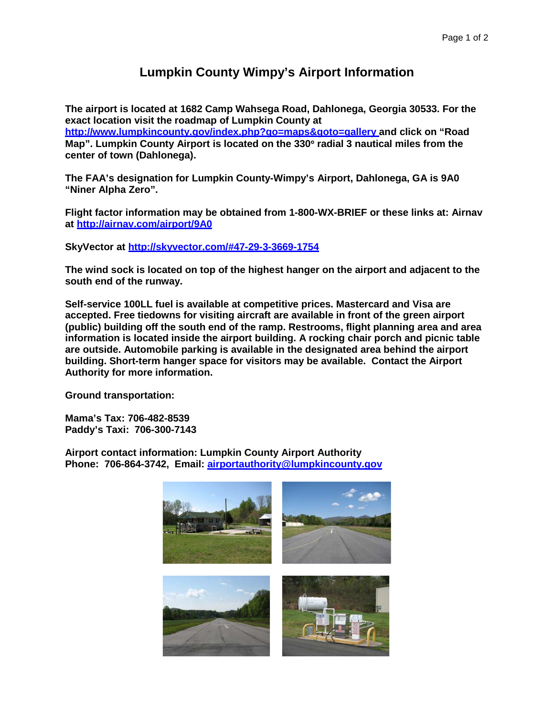## **Lumpkin County Wimpy's Airport Information**

**The airport is located at 1682 Camp Wahsega Road, Dahlonega, Georgia 30533. For the exact location visit the roadmap of Lumpkin County at** 

**[http://www.lumpkincounty.gov/index.php?go=maps&goto=gallery a](http://www.lumpkincounty.gov/index.php?go=maps&goto=gallery)nd click on "Road Map". Lumpkin County Airport is located on the 330**° **radial 3 nautical miles from the center of town (Dahlonega).**

**The FAA's designation for Lumpkin County-Wimpy's Airport, Dahlonega, GA is 9A0 "Niner Alpha Zero".**

**Flight factor information may be obtained from 1-800-WX-BRIEF or these links at: Airnav at<http://airnav.com/airport/9A0>**

**SkyVector at<http://skyvector.com/#47-29-3-3669-1754>**

**The wind sock is located on top of the highest hanger on the airport and adjacent to the south end of the runway.**

**Self-service 100LL fuel is available at competitive prices. Mastercard and Visa are accepted. Free tiedowns for visiting aircraft are available in front of the green airport (public) building off the south end of the ramp. Restrooms, flight planning area and area information is located inside the airport building. A rocking chair porch and picnic table are outside. Automobile parking is available in the designated area behind the airport building. Short-term hanger space for visitors may be available. Contact the Airport Authority for more information.**

**Ground transportation:**

**Mama's Tax: 706-482-8539 Paddy's Taxi: 706-300-7143**

**Airport contact information: Lumpkin County Airport Authority Phone: 706-864-3742, Email: [airportauthority@lumpkincounty.gov](mailto:airportauthority@lumpkincounty.gov)**